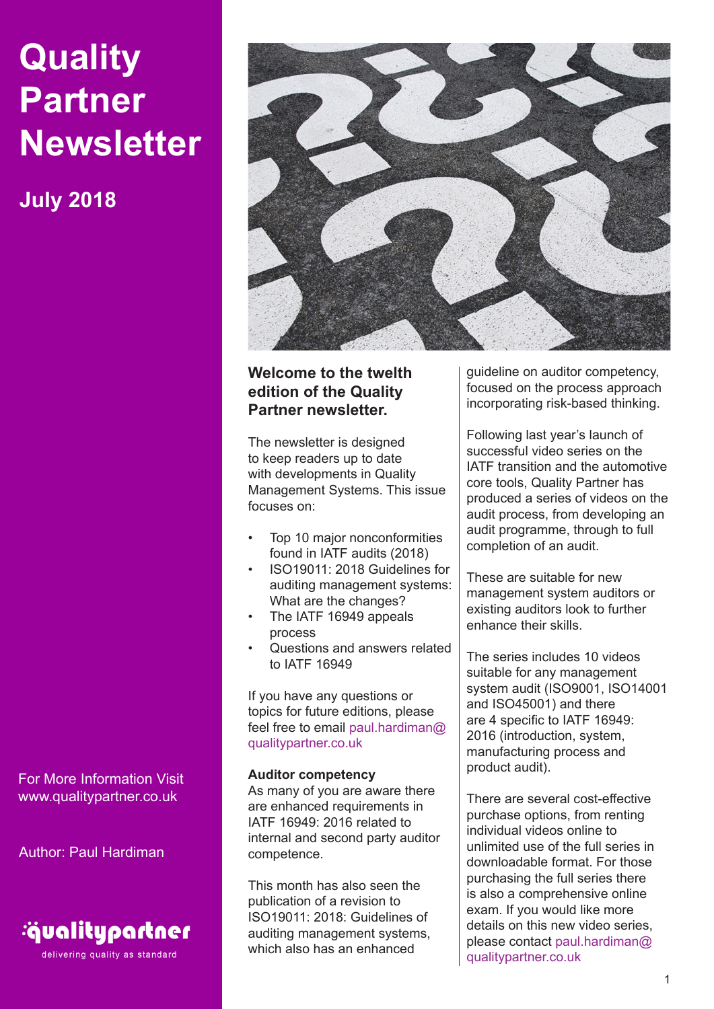# **Quality Partner Newsletter**

**July 2018**

For More Information Visit www.qualitypartner.co.uk

Author: Paul Hardiman



delivering quality as standard



# **Welcome to the twelth edition of the Quality Partner newsletter.**

The newsletter is designed to keep readers up to date with developments in Quality Management Systems. This issue focuses on:

- Top 10 major nonconformities found in IATF audits (2018)
- ISO19011: 2018 Guidelines for auditing management systems: What are the changes?
- The IATF 16949 appeals process
- Questions and answers related to IATF 16949

If you have any questions or topics for future editions, please feel free to email paul.hardiman@ qualitypartner.co.uk

## **Auditor competency**

As many of you are aware there are enhanced requirements in IATF 16949: 2016 related to internal and second party auditor competence.

This month has also seen the publication of a revision to ISO19011: 2018: Guidelines of auditing management systems, which also has an enhanced

guideline on auditor competency, focused on the process approach incorporating risk-based thinking.

Following last year's launch of successful video series on the IATF transition and the automotive core tools, Quality Partner has produced a series of videos on the audit process, from developing an audit programme, through to full completion of an audit.

These are suitable for new management system auditors or existing auditors look to further enhance their skills.

The series includes 10 videos suitable for any management system audit (ISO9001, ISO14001 and ISO45001) and there are 4 specific to IATF 16949: 2016 (introduction, system, manufacturing process and product audit).

There are several cost-effective purchase options, from renting individual videos online to unlimited use of the full series in downloadable format. For those purchasing the full series there is also a comprehensive online exam. If you would like more details on this new video series, please contact paul.hardiman@ qualitypartner.co.uk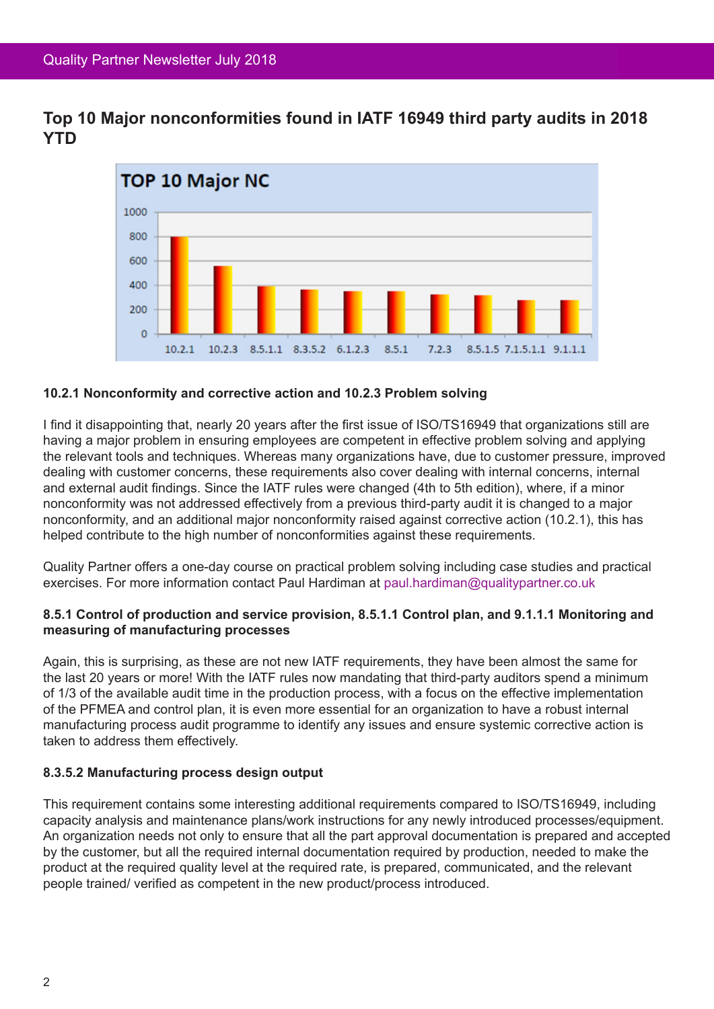**Top 10 Major nonconformities found in IATF 16949 third party audits in 2018 YTD**



## **10.2.1 Nonconformity and corrective action and 10.2.3 Problem solving**

I find it disappointing that, nearly 20 years after the first issue of ISO/TS16949 that organizations still are having a major problem in ensuring employees are competent in effective problem solving and applying the relevant tools and techniques. Whereas many organizations have, due to customer pressure, improved dealing with customer concerns, these requirements also cover dealing with internal concerns, internal and external audit findings. Since the IATF rules were changed (4th to 5th edition), where, if a minor nonconformity was not addressed effectively from a previous third-party audit it is changed to a major nonconformity, and an additional major nonconformity raised against corrective action (10.2.1), this has helped contribute to the high number of nonconformities against these requirements.

Quality Partner offers a one-day course on practical problem solving including case studies and practical exercises. For more information contact Paul Hardiman at paul.hardiman@qualitypartner.co.uk

#### **8.5.1 Control of production and service provision, 8.5.1.1 Control plan, and 9.1.1.1 Monitoring and measuring of manufacturing processes**

Again, this is surprising, as these are not new IATF requirements, they have been almost the same for the last 20 years or more! With the IATF rules now mandating that third-party auditors spend a minimum of 1/3 of the available audit time in the production process, with a focus on the effective implementation of the PFMEA and control plan, it is even more essential for an organization to have a robust internal manufacturing process audit programme to identify any issues and ensure systemic corrective action is taken to address them effectively.

## **8.3.5.2 Manufacturing process design output**

This requirement contains some interesting additional requirements compared to ISO/TS16949, including capacity analysis and maintenance plans/work instructions for any newly introduced processes/equipment. An organization needs not only to ensure that all the part approval documentation is prepared and accepted by the customer, but all the required internal documentation required by production, needed to make the product at the required quality level at the required rate, is prepared, communicated, and the relevant people trained/ verified as competent in the new product/process introduced.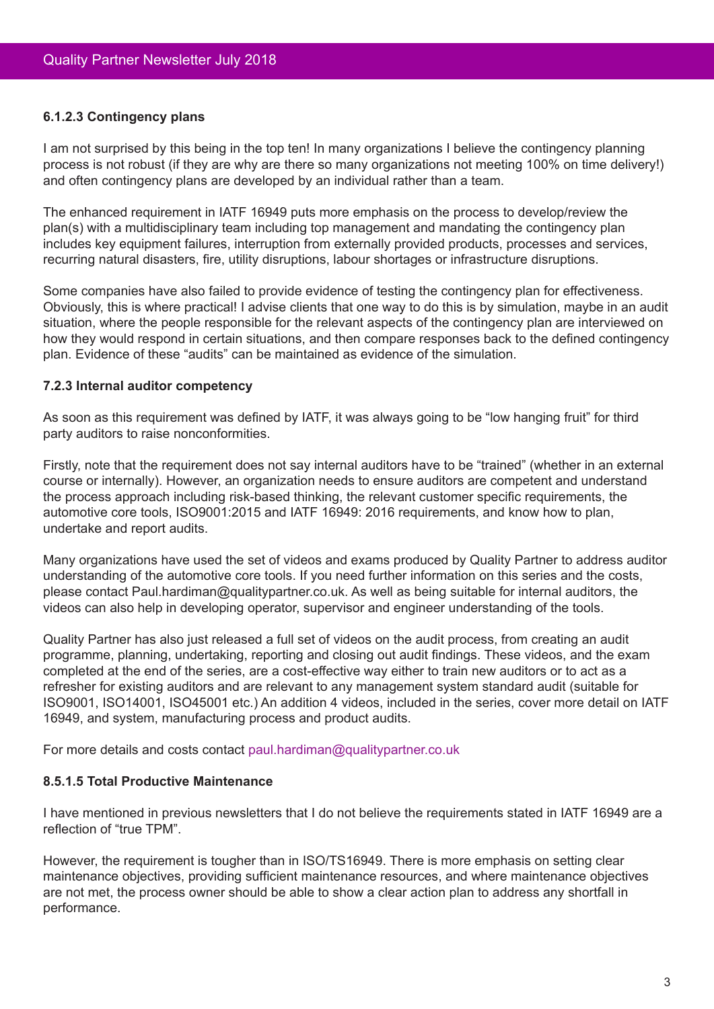#### **6.1.2.3 Contingency plans**

I am not surprised by this being in the top ten! In many organizations I believe the contingency planning process is not robust (if they are why are there so many organizations not meeting 100% on time delivery!) and often contingency plans are developed by an individual rather than a team.

The enhanced requirement in IATF 16949 puts more emphasis on the process to develop/review the plan(s) with a multidisciplinary team including top management and mandating the contingency plan includes key equipment failures, interruption from externally provided products, processes and services, recurring natural disasters, fire, utility disruptions, labour shortages or infrastructure disruptions.

Some companies have also failed to provide evidence of testing the contingency plan for effectiveness. Obviously, this is where practical! I advise clients that one way to do this is by simulation, maybe in an audit situation, where the people responsible for the relevant aspects of the contingency plan are interviewed on how they would respond in certain situations, and then compare responses back to the defined contingency plan. Evidence of these "audits" can be maintained as evidence of the simulation.

#### **7.2.3 Internal auditor competency**

As soon as this requirement was defined by IATF, it was always going to be "low hanging fruit" for third party auditors to raise nonconformities.

Firstly, note that the requirement does not say internal auditors have to be "trained" (whether in an external course or internally). However, an organization needs to ensure auditors are competent and understand the process approach including risk-based thinking, the relevant customer specific requirements, the automotive core tools, ISO9001:2015 and IATF 16949: 2016 requirements, and know how to plan, undertake and report audits.

Many organizations have used the set of videos and exams produced by Quality Partner to address auditor understanding of the automotive core tools. If you need further information on this series and the costs, please contact Paul.hardiman@qualitypartner.co.uk. As well as being suitable for internal auditors, the videos can also help in developing operator, supervisor and engineer understanding of the tools.

Quality Partner has also just released a full set of videos on the audit process, from creating an audit programme, planning, undertaking, reporting and closing out audit findings. These videos, and the exam completed at the end of the series, are a cost-effective way either to train new auditors or to act as a refresher for existing auditors and are relevant to any management system standard audit (suitable for ISO9001, ISO14001, ISO45001 etc.) An addition 4 videos, included in the series, cover more detail on IATF 16949, and system, manufacturing process and product audits.

For more details and costs contact paul.hardiman@qualitypartner.co.uk

## **8.5.1.5 Total Productive Maintenance**

I have mentioned in previous newsletters that I do not believe the requirements stated in IATF 16949 are a reflection of "true TPM".

However, the requirement is tougher than in ISO/TS16949. There is more emphasis on setting clear maintenance objectives, providing sufficient maintenance resources, and where maintenance objectives are not met, the process owner should be able to show a clear action plan to address any shortfall in performance.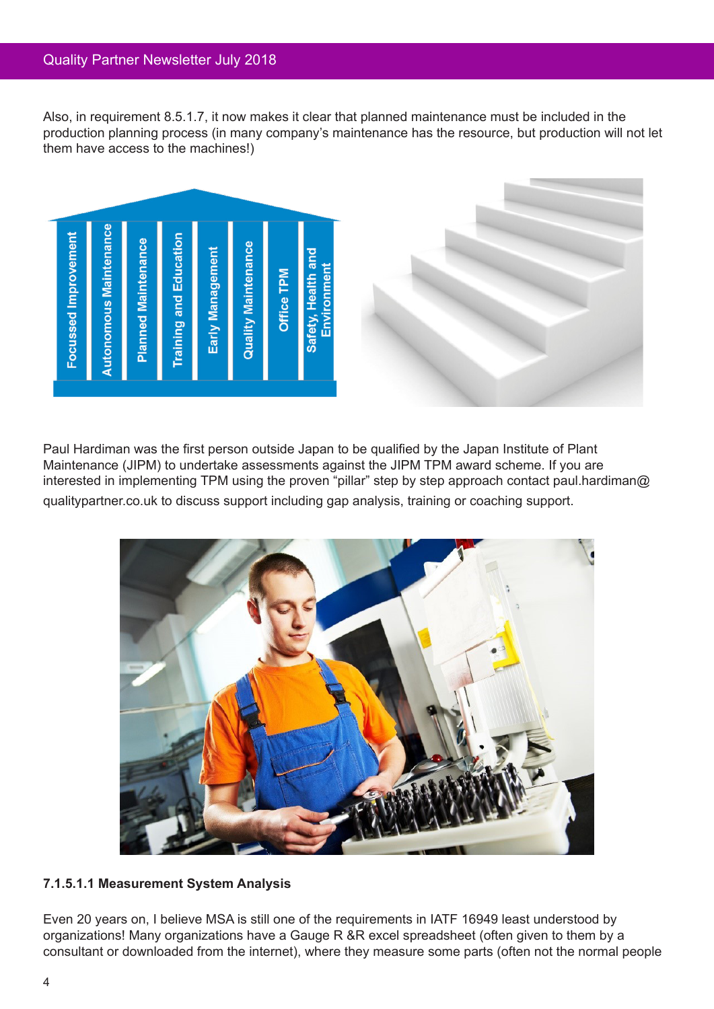Also, in requirement 8.5.1.7, it now makes it clear that planned maintenance must be included in the production planning process (in many company's maintenance has the resource, but production will not let them have access to the machines!)





Paul Hardiman was the first person outside Japan to be qualified by the Japan Institute of Plant Maintenance (JIPM) to undertake assessments against the JIPM TPM award scheme. If you are interested in implementing TPM using the proven "pillar" step by step approach contact paul.hardiman@ qualitypartner.co.uk to discuss support including gap analysis, training or coaching support.



## **7.1.5.1.1 Measurement System Analysis**

Even 20 years on, I believe MSA is still one of the requirements in IATF 16949 least understood by organizations! Many organizations have a Gauge R &R excel spreadsheet (often given to them by a consultant or downloaded from the internet), where they measure some parts (often not the normal people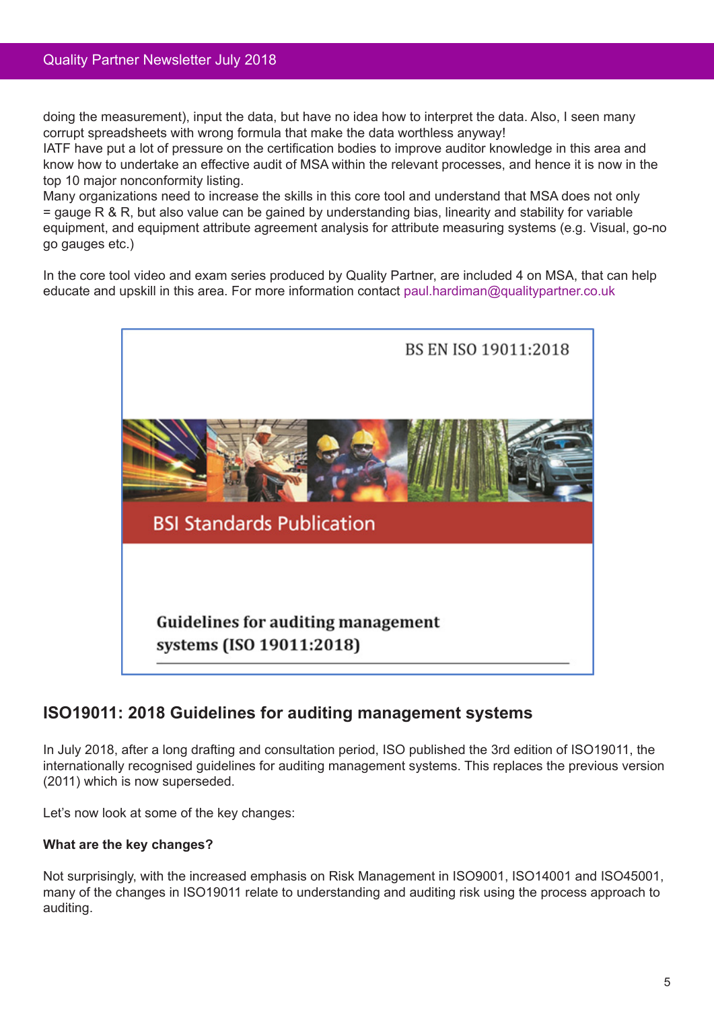doing the measurement), input the data, but have no idea how to interpret the data. Also, I seen many corrupt spreadsheets with wrong formula that make the data worthless anyway!

IATF have put a lot of pressure on the certification bodies to improve auditor knowledge in this area and know how to undertake an effective audit of MSA within the relevant processes, and hence it is now in the top 10 major nonconformity listing.

Many organizations need to increase the skills in this core tool and understand that MSA does not only = gauge R & R, but also value can be gained by understanding bias, linearity and stability for variable equipment, and equipment attribute agreement analysis for attribute measuring systems (e.g. Visual, go-no go gauges etc.)

In the core tool video and exam series produced by Quality Partner, are included 4 on MSA, that can help educate and upskill in this area. For more information contact paul.hardiman@qualitypartner.co.uk



# **ISO19011: 2018 Guidelines for auditing management systems**

In July 2018, after a long drafting and consultation period, ISO published the 3rd edition of ISO19011, the internationally recognised guidelines for auditing management systems. This replaces the previous version (2011) which is now superseded.

Let's now look at some of the key changes:

## **What are the key changes?**

Not surprisingly, with the increased emphasis on Risk Management in ISO9001, ISO14001 and ISO45001, many of the changes in ISO19011 relate to understanding and auditing risk using the process approach to auditing.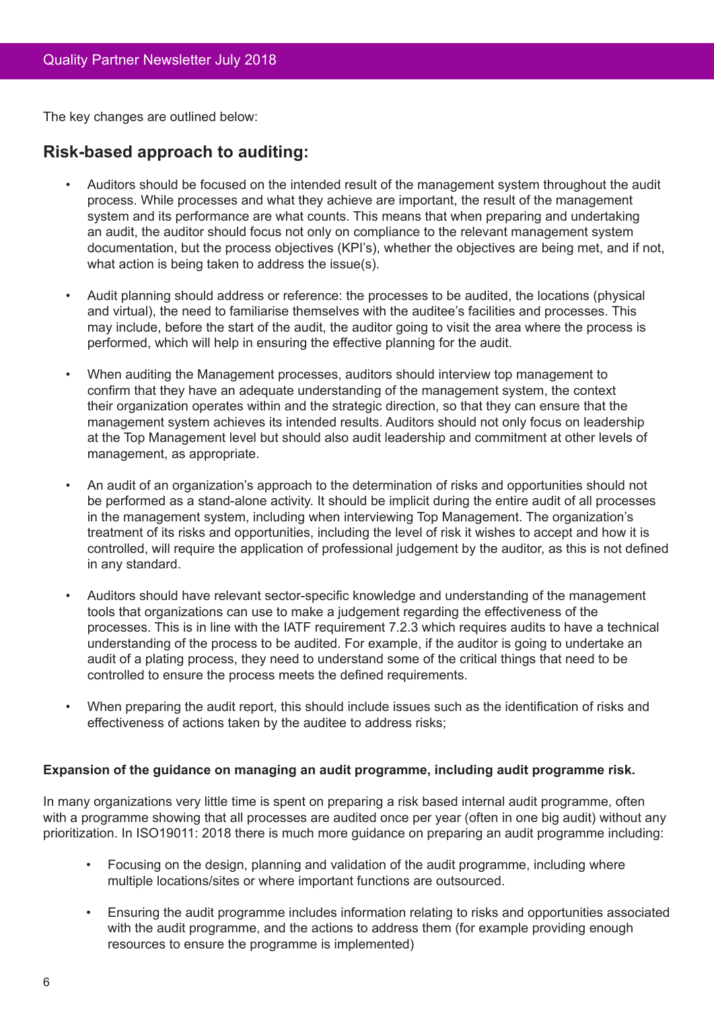The key changes are outlined below:

# **Risk-based approach to auditing:**

- Auditors should be focused on the intended result of the management system throughout the audit process. While processes and what they achieve are important, the result of the management system and its performance are what counts. This means that when preparing and undertaking an audit, the auditor should focus not only on compliance to the relevant management system documentation, but the process objectives (KPI's), whether the objectives are being met, and if not, what action is being taken to address the issue(s).
- Audit planning should address or reference: the processes to be audited, the locations (physical and virtual), the need to familiarise themselves with the auditee's facilities and processes. This may include, before the start of the audit, the auditor going to visit the area where the process is performed, which will help in ensuring the effective planning for the audit.
- When auditing the Management processes, auditors should interview top management to confirm that they have an adequate understanding of the management system, the context their organization operates within and the strategic direction, so that they can ensure that the management system achieves its intended results. Auditors should not only focus on leadership at the Top Management level but should also audit leadership and commitment at other levels of management, as appropriate.
- An audit of an organization's approach to the determination of risks and opportunities should not be performed as a stand-alone activity. It should be implicit during the entire audit of all processes in the management system, including when interviewing Top Management. The organization's treatment of its risks and opportunities, including the level of risk it wishes to accept and how it is controlled, will require the application of professional judgement by the auditor, as this is not defined in any standard.
- Auditors should have relevant sector-specific knowledge and understanding of the management tools that organizations can use to make a judgement regarding the effectiveness of the processes. This is in line with the IATF requirement 7.2.3 which requires audits to have a technical understanding of the process to be audited. For example, if the auditor is going to undertake an audit of a plating process, they need to understand some of the critical things that need to be controlled to ensure the process meets the defined requirements.
- When preparing the audit report, this should include issues such as the identification of risks and effectiveness of actions taken by the auditee to address risks;

## **Expansion of the guidance on managing an audit programme, including audit programme risk.**

In many organizations very little time is spent on preparing a risk based internal audit programme, often with a programme showing that all processes are audited once per year (often in one big audit) without any prioritization. In ISO19011: 2018 there is much more guidance on preparing an audit programme including:

- • Focusing on the design, planning and validation of the audit programme, including where multiple locations/sites or where important functions are outsourced.
- Ensuring the audit programme includes information relating to risks and opportunities associated with the audit programme, and the actions to address them (for example providing enough resources to ensure the programme is implemented)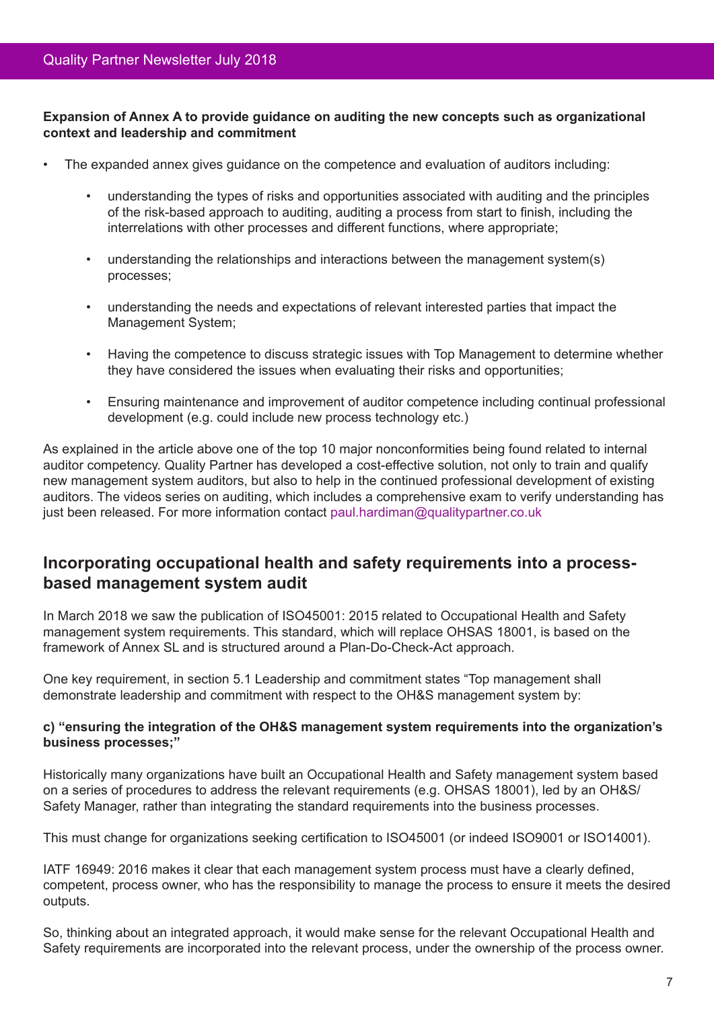## **Expansion of Annex A to provide guidance on auditing the new concepts such as organizational context and leadership and commitment**

- The expanded annex gives quidance on the competence and evaluation of auditors including:
	- understanding the types of risks and opportunities associated with auditing and the principles of the risk-based approach to auditing, auditing a process from start to finish, including the interrelations with other processes and different functions, where appropriate;
	- understanding the relationships and interactions between the management system(s) processes;
	- • understanding the needs and expectations of relevant interested parties that impact the Management System;
	- Having the competence to discuss strategic issues with Top Management to determine whether they have considered the issues when evaluating their risks and opportunities;
	- • Ensuring maintenance and improvement of auditor competence including continual professional development (e.g. could include new process technology etc.)

As explained in the article above one of the top 10 major nonconformities being found related to internal auditor competency. Quality Partner has developed a cost-effective solution, not only to train and qualify new management system auditors, but also to help in the continued professional development of existing auditors. The videos series on auditing, which includes a comprehensive exam to verify understanding has just been released. For more information contact paul.hardiman@qualitypartner.co.uk

# **Incorporating occupational health and safety requirements into a processbased management system audit**

In March 2018 we saw the publication of ISO45001: 2015 related to Occupational Health and Safety management system requirements. This standard, which will replace OHSAS 18001, is based on the framework of Annex SL and is structured around a Plan-Do-Check-Act approach.

One key requirement, in section 5.1 Leadership and commitment states "Top management shall demonstrate leadership and commitment with respect to the OH&S management system by:

## **c) "ensuring the integration of the OH&S management system requirements into the organization's business processes;"**

Historically many organizations have built an Occupational Health and Safety management system based on a series of procedures to address the relevant requirements (e.g. OHSAS 18001), led by an OH&S/ Safety Manager, rather than integrating the standard requirements into the business processes.

This must change for organizations seeking certification to ISO45001 (or indeed ISO9001 or ISO14001).

IATF 16949: 2016 makes it clear that each management system process must have a clearly defined, competent, process owner, who has the responsibility to manage the process to ensure it meets the desired outputs.

So, thinking about an integrated approach, it would make sense for the relevant Occupational Health and Safety requirements are incorporated into the relevant process, under the ownership of the process owner.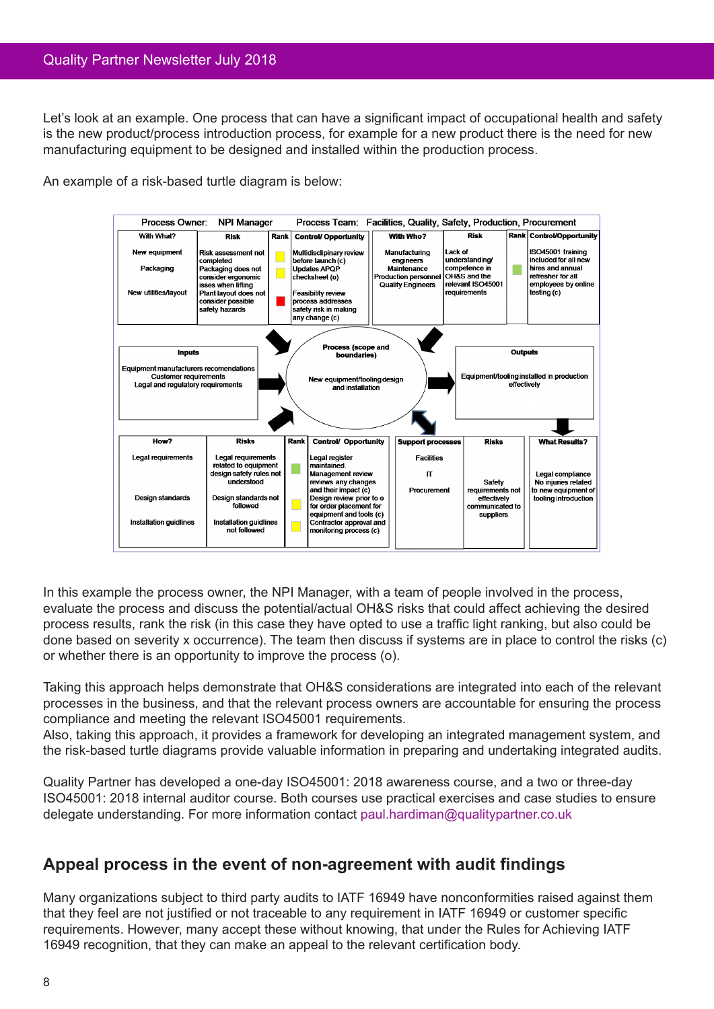Let's look at an example. One process that can have a significant impact of occupational health and safety is the new product/process introduction process, for example for a new product there is the need for new manufacturing equipment to be designed and installed within the production process.

An example of a risk-based turtle diagram is below:



In this example the process owner, the NPI Manager, with a team of people involved in the process, evaluate the process and discuss the potential/actual OH&S risks that could affect achieving the desired process results, rank the risk (in this case they have opted to use a traffic light ranking, but also could be done based on severity x occurrence). The team then discuss if systems are in place to control the risks (c) or whether there is an opportunity to improve the process (o).

Taking this approach helps demonstrate that OH&S considerations are integrated into each of the relevant processes in the business, and that the relevant process owners are accountable for ensuring the process compliance and meeting the relevant ISO45001 requirements.

Also, taking this approach, it provides a framework for developing an integrated management system, and the risk-based turtle diagrams provide valuable information in preparing and undertaking integrated audits.

Quality Partner has developed a one-day ISO45001: 2018 awareness course, and a two or three-day ISO45001: 2018 internal auditor course. Both courses use practical exercises and case studies to ensure delegate understanding. For more information contact paul.hardiman@qualitypartner.co.uk

# **Appeal process in the event of non-agreement with audit findings**

Many organizations subject to third party audits to IATF 16949 have nonconformities raised against them that they feel are not justified or not traceable to any requirement in IATF 16949 or customer specific requirements. However, many accept these without knowing, that under the Rules for Achieving IATF 16949 recognition, that they can make an appeal to the relevant certification body.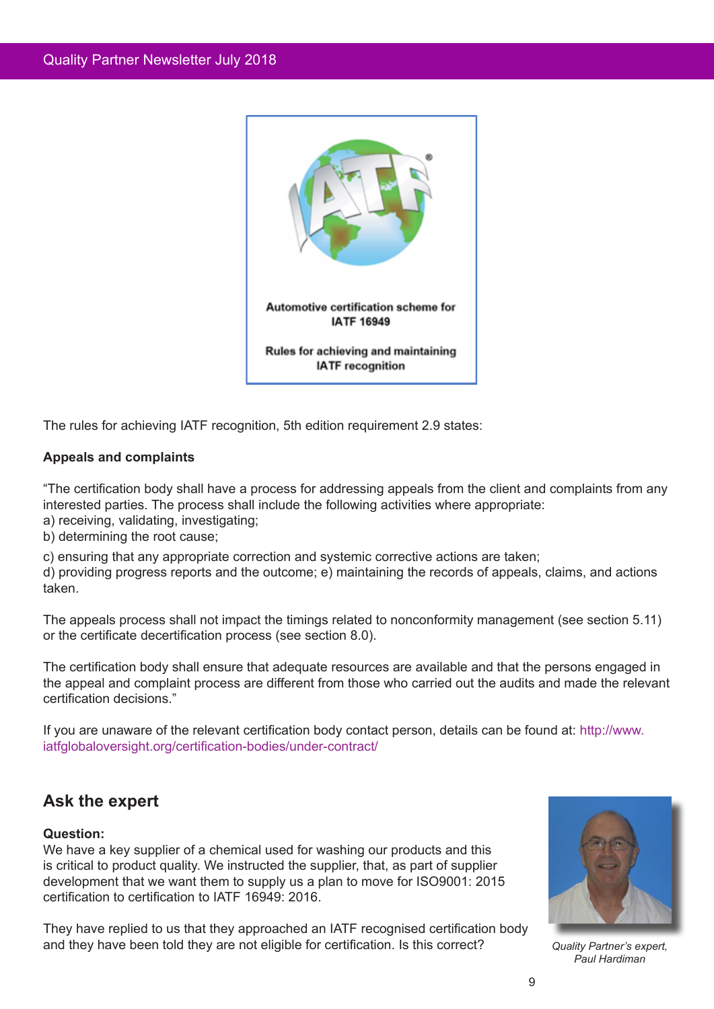

The rules for achieving IATF recognition, 5th edition requirement 2.9 states:

## **Appeals and complaints**

"The certification body shall have a process for addressing appeals from the client and complaints from any interested parties. The process shall include the following activities where appropriate: a) receiving, validating, investigating;

- b) determining the root cause;
- 

c) ensuring that any appropriate correction and systemic corrective actions are taken;

d) providing progress reports and the outcome; e) maintaining the records of appeals, claims, and actions taken.

The appeals process shall not impact the timings related to nonconformity management (see section 5.11) or the certificate decertification process (see section 8.0).

The certification body shall ensure that adequate resources are available and that the persons engaged in the appeal and complaint process are different from those who carried out the audits and made the relevant certification decisions."

If you are unaware of the relevant certification body contact person, details can be found at: http://www. iatfglobaloversight.org/certification-bodies/under-contract/

# **Ask the expert**

## **Question:**

We have a key supplier of a chemical used for washing our products and this is critical to product quality. We instructed the supplier, that, as part of supplier development that we want them to supply us a plan to move for ISO9001: 2015 certification to certification to IATF 16949: 2016.

They have replied to us that they approached an IATF recognised certification body and they have been told they are not eligible for certification. Is this correct?



*Quality Partner's expert, Paul Hardiman*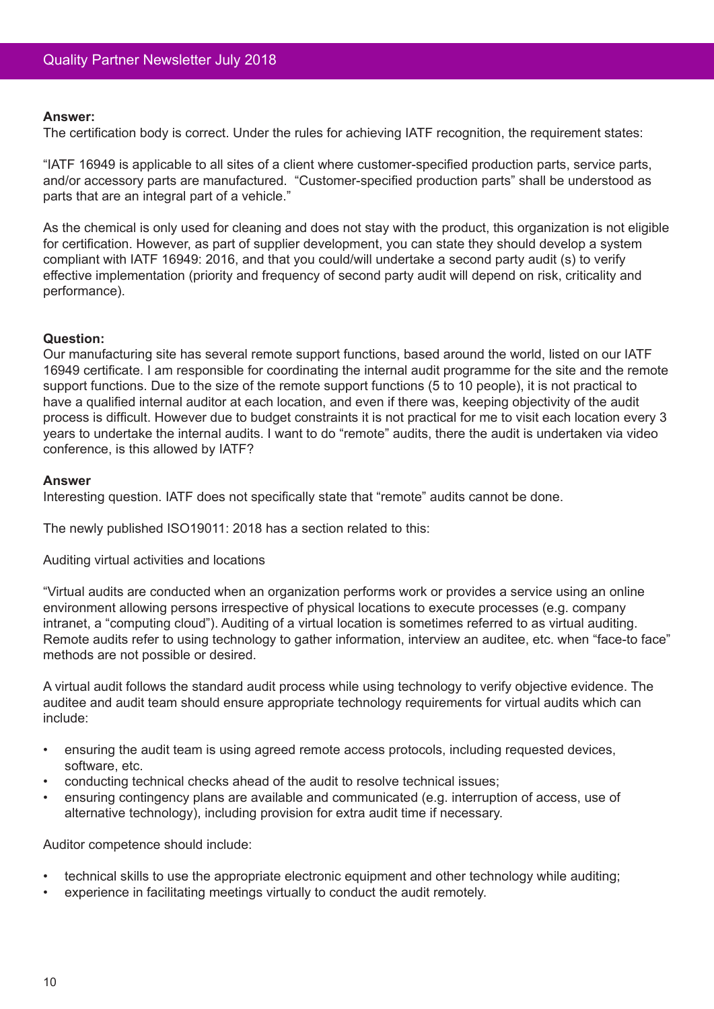#### **Answer:**

The certification body is correct. Under the rules for achieving IATF recognition, the requirement states:

"IATF 16949 is applicable to all sites of a client where customer-specified production parts, service parts, and/or accessory parts are manufactured. "Customer-specified production parts" shall be understood as parts that are an integral part of a vehicle."

As the chemical is only used for cleaning and does not stay with the product, this organization is not eligible for certification. However, as part of supplier development, you can state they should develop a system compliant with IATF 16949: 2016, and that you could/will undertake a second party audit (s) to verify effective implementation (priority and frequency of second party audit will depend on risk, criticality and performance).

#### **Question:**

Our manufacturing site has several remote support functions, based around the world, listed on our IATF 16949 certificate. I am responsible for coordinating the internal audit programme for the site and the remote support functions. Due to the size of the remote support functions (5 to 10 people), it is not practical to have a qualified internal auditor at each location, and even if there was, keeping objectivity of the audit process is difficult. However due to budget constraints it is not practical for me to visit each location every 3 years to undertake the internal audits. I want to do "remote" audits, there the audit is undertaken via video conference, is this allowed by IATF?

#### **Answer**

Interesting question. IATF does not specifically state that "remote" audits cannot be done.

The newly published ISO19011: 2018 has a section related to this:

Auditing virtual activities and locations

"Virtual audits are conducted when an organization performs work or provides a service using an online environment allowing persons irrespective of physical locations to execute processes (e.g. company intranet, a "computing cloud"). Auditing of a virtual location is sometimes referred to as virtual auditing. Remote audits refer to using technology to gather information, interview an auditee, etc. when "face-to face" methods are not possible or desired.

A virtual audit follows the standard audit process while using technology to verify objective evidence. The auditee and audit team should ensure appropriate technology requirements for virtual audits which can include:

- ensuring the audit team is using agreed remote access protocols, including requested devices, software, etc.
- conducting technical checks ahead of the audit to resolve technical issues;
- ensuring contingency plans are available and communicated (e.g. interruption of access, use of alternative technology), including provision for extra audit time if necessary.

Auditor competence should include:

- technical skills to use the appropriate electronic equipment and other technology while auditing;
- experience in facilitating meetings virtually to conduct the audit remotely.